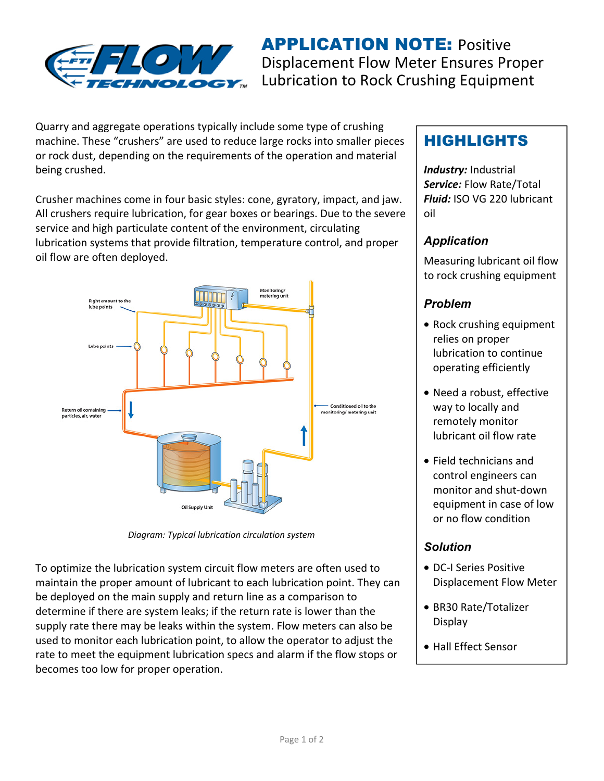

**APPLICATION NOTE: Positive** Displacement Flow Meter Ensures Proper Lubrication to Rock Crushing Equipment

Quarry and aggregate operations typically include some type of crushing machine. These "crushers" are used to reduce large rocks into smaller pieces or rock dust, depending on the requirements of the operation and material being crushed.

Crusher machines come in four basic styles: cone, gyratory, impact, and jaw. All crushers require lubrication, for gear boxes or bearings. Due to the severe service and high particulate content of the environment, circulating lubrication systems that provide filtration, temperature control, and proper oil flow are often deployed.



*Diagram: Typical lubrication circulation system* 

To optimize the lubrication system circuit flow meters are often used to maintain the proper amount of lubricant to each lubrication point. They can be deployed on the main supply and return line as a comparison to determine if there are system leaks; if the return rate is lower than the supply rate there may be leaks within the system. Flow meters can also be used to monitor each lubrication point, to allow the operator to adjust the rate to meet the equipment lubrication specs and alarm if the flow stops or becomes too low for proper operation.

# HIGHLIGHTS

*Industry:* Industrial *Service:* Flow Rate/Total *Fluid:* ISO VG 220 lubricant oil

#### *Application*

Measuring lubricant oil flow to rock crushing equipment

## *Problem*

- Rock crushing equipment relies on proper lubrication to continue operating efficiently
- Need a robust, effective way to locally and remotely monitor lubricant oil flow rate
- Field technicians and control engineers can monitor and shut-down equipment in case of low or no flow condition

## *Solution*

- DC-I Series Positive Displacement Flow Meter
- BR30 Rate/Totalizer Display
- Hall Effect Sensor